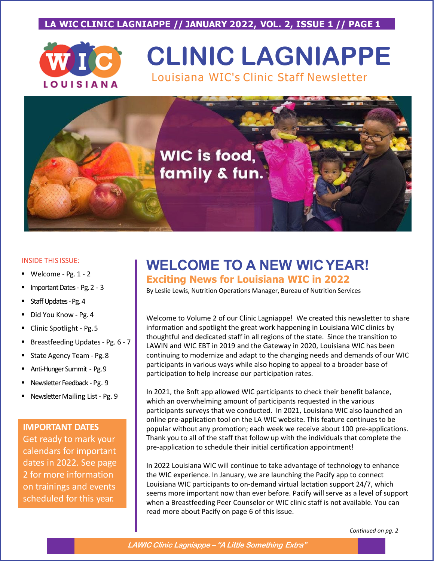## **LA WIC CLINIC LAGNIAPPE // JANUARY 2022, VOL. 2, ISSUE 1 // PAGE 1**



# **CLINIC LAGNIAPPE** Louisiana WIC's Clinic Staff Newsletter



#### INSIDE THIS ISSUE:

- Welcome Pg. 1 2
- Important Dates Pg.2 3
- Staff Updates-Pg.4
- Did You Know Pg. 4
- Clinic Spotlight Pg.5
- Breastfeeding Updates Pg. 6 7
- State Agency Team Pg.8
- Anti-Hunger Summit Pg.9
- Newsletter Feedback Pg. 9
- Newsletter Mailing List Pg. 9

#### **IMPORTANT DATES**

Get ready to mark your calendars for important dates in 2022. See page 2 for more information on trainings and events scheduled for this year.

# **WELCOME TO A NEW WICYEAR!**

#### **Exciting News for Louisiana WIC in 2022**

By Leslie Lewis, Nutrition Operations Manager, Bureau of Nutrition Services

Welcome to Volume 2 of our Clinic Lagniappe! We created this newsletter to share information and spotlight the great work happening in Louisiana WIC clinics by thoughtful and dedicated staff in all regions of the state. Since the transition to LAWIN and WIC EBT in 2019 and the Gateway in 2020, Louisiana WIC has been continuing to modernize and adapt to the changing needs and demands of our WIC participants in various ways while also hoping to appeal to a broader base of participation to help increase our participation rates.

In 2021, the Bnft app allowed WIC participants to check their benefit balance, which an overwhelming amount of participants requested in the various participants surveys that we conducted. In 2021, Louisiana WIC also launched an online pre-application tool on the LA WIC website. This feature continues to be popular without any promotion; each week we receive about 100 pre-applications. Thank you to all of the staff that follow up with the individuals that complete the pre-application to schedule their initial certification appointment!

In 2022 Louisiana WIC will continue to take advantage of technology to enhance the WIC experience. In January, we are launching the Pacify app to connect Louisiana WIC participants to on-demand virtual lactation support 24/7, which seems more important now than ever before. Pacify will serve as a level of support when a Breastfeeding Peer Counselor or WIC clinic staff is not available. You can read more about Pacify on page 6 of this issue.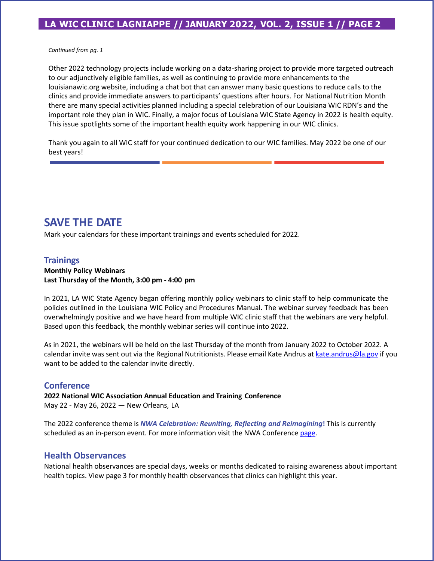## **LA WIC CLINIC LAGNIAPPE // JANUARY 2022, VOL. 2, ISSUE 1 // PAGE 2**

*Continued from pg. 1*

Other 2022 technology projects include working on a data-sharing project to provide more targeted outreach to our adjunctively eligible families, as well as continuing to provide more enhancements to the louisianawic.org website, including a chat bot that can answer many basic questions to reduce calls to the clinics and provide immediate answers to participants' questions after hours. For National Nutrition Month there are many special activities planned including a special celebration of our Louisiana WIC RDN's and the important role they plan in WIC. Finally, a major focus of Louisiana WIC State Agency in 2022 is health equity. This issue spotlights some of the important health equity work happening in our WIC clinics.

Thank you again to all WIC staff for your continued dedication to our WIC families. May 2022 be one of our best years!

# **SAVE THE DATE**

Mark your calendars for these important trainings and events scheduled for 2022.

#### **Trainings**

#### **Monthly Policy Webinars Last Thursday of the Month, 3:00 pm - 4:00 pm**

In 2021, LA WIC State Agency began offering monthly policy webinars to clinic staff to help communicate the policies outlined in the Louisiana WIC Policy and Procedures Manual. The webinar survey feedback has been overwhelmingly positive and we have heard from multiple WIC clinic staff that the webinars are very helpful. Based upon this feedback, the monthly webinar series will continue into 2022.

As in 2021, the webinars will be held on the last Thursday of the month from January 2022 to October 2022. A calendar invite was sent out via the Regional Nutritionists. Please email Kate Andrus at [kate.andrus@la.gov](mailto:kate.andrus@la.gov) if you want to be added to the calendar invite directly.

#### **Conference**

**2022 National WIC Association Annual Education and Training Conference** May 22 - May 26, 2022 — New Orleans, LA

The 2022 conference theme is *NWA Celebration: Reuniting, Reflecting and Reimagining***!** This is currently scheduled as an in-person event. For more information visit the NWA Conference [page](https://www.nwica.org/events/info/2022-annual-education-and-training-conference-exhibits-).

#### **Health Observances**

National health observances are special days, weeks or months dedicated to raising awareness about important health topics. View page 3 for monthly health observances that clinics can highlight this year.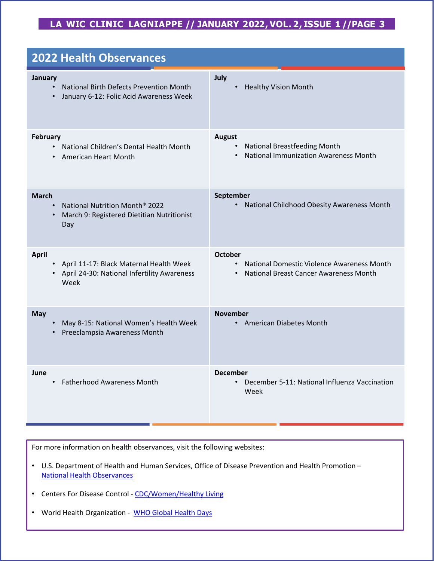# **LA WIC CLINIC LAGNIAPPE // JANUARY 2022, VOL. 2, ISSUE 1 //PAGE 3**

| <b>2022 Health Observances</b>                                                                                                 |                                                                                                                                  |  |
|--------------------------------------------------------------------------------------------------------------------------------|----------------------------------------------------------------------------------------------------------------------------------|--|
| January<br><b>National Birth Defects Prevention Month</b><br>$\bullet$<br>January 6-12: Folic Acid Awareness Week<br>$\bullet$ | July<br><b>Healthy Vision Month</b><br>$\bullet$                                                                                 |  |
| February<br>National Children's Dental Health Month<br>$\bullet$<br>American Heart Month<br>$\bullet$                          | <b>August</b><br><b>National Breastfeeding Month</b><br>$\bullet$<br><b>National Immunization Awareness Month</b>                |  |
| <b>March</b><br>National Nutrition Month <sup>®</sup> 2022<br>$\bullet$<br>March 9: Registered Dietitian Nutritionist<br>Day   | September<br>National Childhood Obesity Awareness Month<br>$\bullet$                                                             |  |
| <b>April</b><br>• April 11-17: Black Maternal Health Week<br>• April 24-30: National Infertility Awareness<br>Week             | <b>October</b><br>National Domestic Violence Awareness Month<br>$\bullet$<br>National Breast Cancer Awareness Month<br>$\bullet$ |  |
| <b>May</b><br>May 8-15: National Women's Health Week<br>Preeclampsia Awareness Month                                           | <b>November</b><br><b>American Diabetes Month</b><br>$\bullet$                                                                   |  |
| June<br><b>Fatherhood Awareness Month</b><br>$\bullet$                                                                         | <b>December</b><br>December 5-11: National Influenza Vaccination<br>Week                                                         |  |

For more information on health observances, visit the following websites:

- U.S. Department of Health and Human Services, Office of Disease Prevention and Health Promotion [National Health Observances](https://health.gov/news/category/national-health-observances)
- Centers For Disease Control [CDC/Women/Healthy Living](https://www.cdc.gov/women/healthyliving/index.htm)
- World Health Organization [WHO Global Health Days](https://www.who.int/campaigns)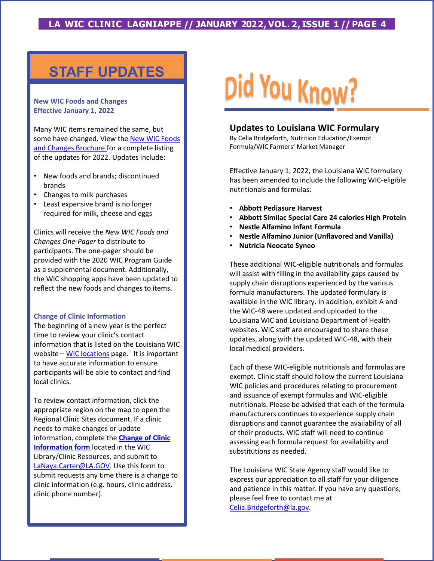## **LA WIC CLINIC LAGNIAPPE // JANUARY 2022, VOL. 2, ISSUE 1 // PAGE 4**

# **STAFF UPDATES**

#### **New WIC Foods and Changes Effective January 1, 2022**

Many WIC items remained the same, but [some have changed. View the New WIC Foods](https://louisianawic.org/wp-content/uploads/2022/01/2021NEWWICFOODSANDCHANGESRev.1-14-22.pdf) and Changes Brochure for a complete listing of the updates for 2022. Updates include:

- New foods and brands; discontinued brands
- Changes to milk purchases
- Least expensive brand is no longer required for milk, cheese and eggs

Clinics will receive the *New WIC Foods and Changes One-Pager* to distribute to participants. The one-pager should be provided with the 2020 WIC Program Guide as a supplemental document. Additionally, the WIC shopping apps have been updated to reflect the new foods and changes to items.

#### **Change of Clinic Information**

The beginning of a new year is the perfect time to review your clinic's contact information that is listed on the Louisiana WIC website – [WIC locations](https://louisianawic.org/find/) page. It is important to have accurate information to ensure participants will be able to contact and find local clinics.

To review contact information, click the appropriate region on the map to open the Regional Clinic Sites document. If a clinic needs to make changes or update [information, complete the](https://extranet.la.gov/ldh/oph/OPH%20WIC%20Library/_layouts/15/WopiFrame.aspx?sourcedoc=%7b3E5C98A3-BF9C-4B0A-8BE6-C391154263BD%7d&file=Change%20of%20Clinic%20Information%20Form.pdf&action=default) **Change of Clinic Information form** located in the WIC Library/Clinic Resources, and submit to [LaNaya.Carter@LA.GOV.](mailto:LaNaya.Carter@LA.GOV) Use this form to submit requests any time there is a change to clinic information (e.g. hours, clinic address, clinic phone number).

# Did You Know?

#### **Updates to Louisiana WIC Formulary**

By Celia Bridgeforth, Nutrition Education/Exempt Formula/WIC Farmers' Market Manager

Effective January 1, 2022, the Louisiana WIC formulary has been amended to include the following WIC-eligible nutritionals and formulas:

- **Abbott Pediasure Harvest**
- **Abbott Similac Special Care 24 calories High Protein**
- **Nestle Alfamino Infant Formula**
- **Nestle Alfamino Junior (Unflavored and Vanilla)**
- **Nutricia Neocate Syneo**

These additional WIC-eligible nutritionals and formulas will assist with filling in the availability gaps caused by supply chain disruptions experienced by the various formula manufacturers. The updated formulary is available in the WIC library. In addition, exhibit A and the WIC-48 were updated and uploaded to the Louisiana WIC and Louisiana Department of Health websites. WIC staff are encouraged to share these updates, along with the updated WIC-48, with their local medical providers.

Each of these WIC-eligible nutritionals and formulas are exempt. Clinic staff should follow the current Louisiana WIC policies and procedures relating to procurement and issuance of exempt formulas and WIC-eligible nutritionals. Please be advised that each of the formula manufacturers continues to experience supply chain disruptions and cannot guarantee the availability of all of their products. WIC staff will need to continue assessing each formula request for availability and substitutions as needed.

The Louisiana WIC State Agency staff would like to express our appreciation to all staff for your diligence and patience in this matter. If you have any questions, please feel free to contact me at [Celia.Bridgeforth@la.gov.](mailto:Celia.Bridgeforth@la.gov)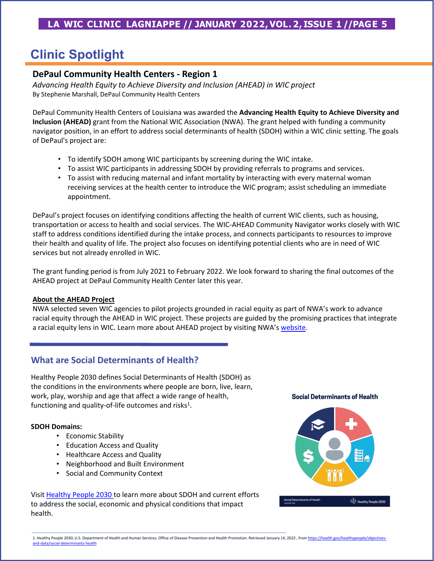# **Clinic Spotlight**

## **DePaul Community Health Centers - Region 1**

*Advancing Health Equity to Achieve Diversity and Inclusion (AHEAD) in WIC project* By Stephenie Marshall, DePaul Community Health Centers

DePaul Community Health Centers of Louisiana was awarded the **Advancing Health Equity to Achieve Diversity and Inclusion (AHEAD)** grant from the National WIC Association (NWA). The grant helped with funding a community navigator position, in an effort to address social determinants of health (SDOH) within a WIC clinic setting. The goals of DePaul's project are:

- To identify SDOH among WIC participants by screening during the WIC intake.
- To assist WIC participants in addressing SDOH by providing referrals to programs and services.
- To assist with reducing maternal and infant mortality by interacting with every maternal woman receiving services at the health center to introduce the WIC program; assist scheduling an immediate appointment.

DePaul's project focuses on identifying conditions affecting the health of current WIC clients, such as housing, transportation or access to health and social services. The WIC-AHEAD Community Navigator works closely with WIC staff to address conditions identified during the intake process, and connects participants to resources to improve their health and quality of life. The project also focuses on identifying potential clients who are in need of WIC services but not already enrolled in WIC.

The grant funding period is from July 2021 to February 2022. We look forward to sharing the final outcomes of the AHEAD project at DePaul Community Health Center later this year.

#### **About the AHEAD Project**

NWA selected seven WIC agencies to pilot projects grounded in racial equity as part of NWA's work to advance racial equity through the AHEAD in WIC project. These projects are guided by the promising practices that integrate a racial equity lens in WIC. Learn more about AHEAD project by visiting NWA's [website.](https://www.nwica.org/blog/introducing-nwas-health-equity-sub-grantees-#.YeGg0f7MI2w)

## **What are Social Determinants of Health?**

Healthy People 2030 defines Social Determinants of Health (SDOH) as the conditions in the environments where people are born, live, learn, work, play, worship and age that affect a wide range of health, functioning and quality-of-life outcomes and risks $1$ .

#### **SDOH Domains:**

- Economic Stability
- Education Access and Quality
- Healthcare Access and Quality
- Neighborhood and Built Environment
- Social and Community Context

Visit [Healthy People 2030](https://health.gov/healthypeople/objectives-and-data/social-determinants-health) to learn more about SDOH and current efforts to address the social, economic and physical conditions that impact health.

#### **Social Determinants of Health**

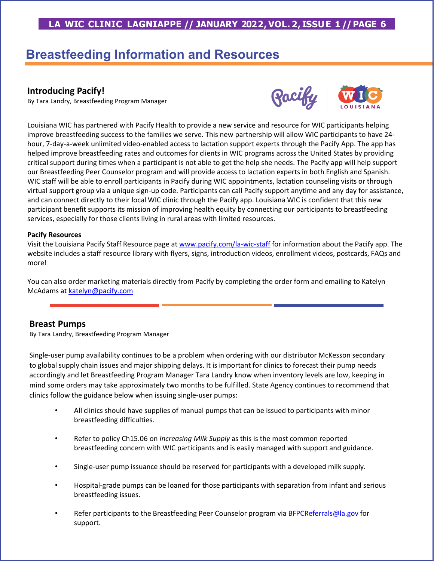# **LA WIC CLINIC LAGNIAPPE // JANUARY 2022, VOL. 2, ISSUE 1 //PAGE 6**

# **Breastfeeding Information and Resources**

#### **Introducing Pacify!**

By Tara Landry, Breastfeeding Program Manager



Louisiana WIC has partnered with Pacify Health to provide a new service and resource for WIC participants helping improve breastfeeding success to the families we serve. This new partnership will allow WIC participants to have 24 hour, 7-day-a-week unlimited video-enabled access to lactation support experts through the Pacify App. The app has helped improve breastfeeding rates and outcomes for clients in WIC programs across the United States by providing critical support during times when a participant is not able to get the help she needs. The Pacify app will help support our Breastfeeding Peer Counselor program and will provide access to lactation experts in both English and Spanish. WIC staff will be able to enroll participants in Pacify during WIC appointments, lactation counseling visits or through virtual support group via a unique sign-up code. Participants can call Pacify support anytime and any day for assistance, and can connect directly to their local WIC clinic through the Pacify app. Louisiana WIC is confident that this new participant benefit supports its mission of improving health equity by connecting our participants to breastfeeding services, especially for those clients living in rural areas with limited resources.

#### **Pacify Resources**

Visit the Louisiana Pacify Staff Resource page at [www.pacify.com/la-wic-staff](http://www.pacify.com/la-wic-staff) for information about the Pacify app. The website includes a staff resource library with flyers, signs, introduction videos, enrollment videos, postcards, FAQs and more!

You can also order marketing materials directly from Pacify by completing the order form and emailing to Katelyn McAdams at [katelyn@pacify.com](mailto:katelyn@pacify.com)

#### **Breast Pumps**

By Tara Landry, Breastfeeding Program Manager

Single-user pump availability continues to be a problem when ordering with our distributor McKesson secondary to global supply chain issues and major shipping delays. It is important for clinics to forecast their pump needs accordingly and let Breastfeeding Program Manager Tara Landry know when inventory levels are low, keeping in mind some orders may take approximately two months to be fulfilled. State Agency continues to recommend that clinics follow the guidance below when issuing single-user pumps:

- All clinics should have supplies of manual pumps that can be issued to participants with minor breastfeeding difficulties.
- Refer to policy Ch15.06 on *Increasing Milk Supply* as this is the most common reported breastfeeding concern with WIC participants and is easily managed with support and guidance.
- Single-user pump issuance should be reserved for participants with a developed milk supply.
- Hospital-grade pumps can be loaned for those participants with separation from infant and serious breastfeeding issues.
- Refer participants to the Breastfeeding Peer Counselor program via [BFPCReferrals@la.gov](mailto:BFPCReferrals@la.gov) for support.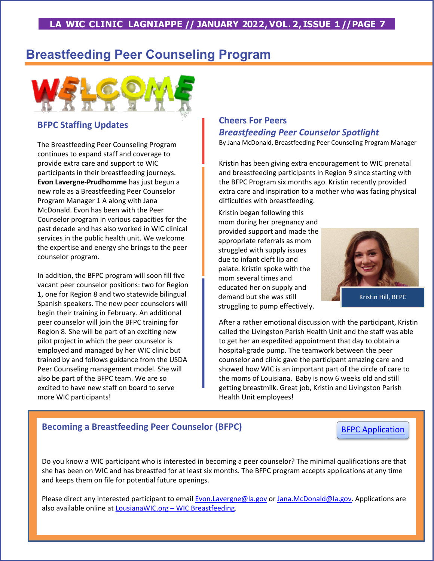# **Breastfeeding Peer Counseling Program**



## **BFPC Staffing Updates**

The Breastfeeding Peer Counseling Program continues to expand staff and coverage to provide extra care and support to WIC participants in their breastfeeding journeys. **Evon Lavergne-Prudhomme** has just begun a new role as a Breastfeeding Peer Counselor Program Manager 1 A along with Jana McDonald. Evon has been with the Peer Counselor program in various capacities for the past decade and has also worked in WIC clinical services in the public health unit. We welcome the expertise and energy she brings to the peer counselor program.

In addition, the BFPC program will soon fill five vacant peer counselor positions: two for Region 1, one for Region 8 and two statewide bilingual Spanish speakers. The new peer counselors will begin their training in February. An additional peer counselor will join the BFPC training for Region 8. She will be part of an exciting new pilot project in which the peer counselor is employed and managed by her WIC clinic but trained by and follows guidance from the USDA Peer Counseling management model. She will also be part of the BFPC team. We are so excited to have new staff on board to serve more WIC participants!

## **Cheers For Peers** *Breastfeeding Peer Counselor Spotlight*

By Jana McDonald, Breastfeeding Peer Counseling Program Manager

Kristin has been giving extra encouragement to WIC prenatal and breastfeeding participants in Region 9 since starting with the BFPC Program six months ago. Kristin recently provided extra care and inspiration to a mother who was facing physical difficulties with breastfeeding.

Kristin began following this mom during her pregnancy and provided support and made the appropriate referrals as mom struggled with supply issues due to infant cleft lip and palate. Kristin spoke with the mom several times and educated her on supply and demand but she was still struggling to pump effectively.



After a rather emotional discussion with the participant, Kristin called the Livingston Parish Health Unit and the staff was able to get her an expedited appointment that day to obtain a hospital-grade pump. The teamwork between the peer counselor and clinic gave the participant amazing care and showed how WIC is an important part of the circle of care to the moms of Louisiana. Baby is now 6 weeks old and still getting breastmilk. Great job, Kristin and Livingston Parish Health Unit employees!

## **Becoming a Breastfeeding Peer Counselor (BFPC)**

[BFPC Application](https://louisianawic.org/wp-content/uploads/2022/01/PC-Application-2020-1-19-22.pdf)

Do you know a WIC participant who is interested in becoming a peer counselor? The minimal qualifications are that she has been on WIC and has breastfed for at least six months. The BFPC program accepts applications at any time and keeps them on file for potential future openings.

Please direct any interested participant to email [Evon.Lavergne@la.gov](mailto:Evon.Lavergne@la.gov) or [Jana.McDonald@la.gov](mailto:Jana.McDonald@la.gov). Applications are also available online at [LousianaWIC.org –](https://louisianawic.org/about/extra/) WIC Breastfeeding.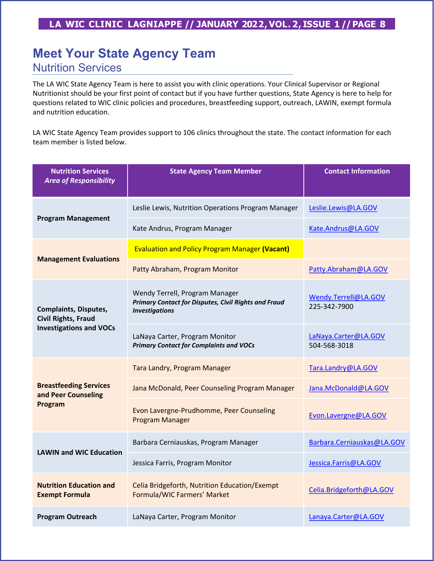# **Meet Your State Agency Team**

# Nutrition Services

The LA WIC State Agency Team is here to assist you with clinic operations. Your Clinical Supervisor or Regional Nutritionist should be your first point of contact but if you have further questions, State Agency is here to help for questions related to WIC clinic policies and procedures, breastfeeding support, outreach, LAWIN, exempt formula and nutrition education.

LA WIC State Agency Team provides support to 106 clinics throughout the state. The contact information for each team member is listed below.

| <b>Nutrition Services</b><br><b>Area of Responsibility</b>                                   | <b>State Agency Team Member</b>                                                                                        | <b>Contact Information</b>           |
|----------------------------------------------------------------------------------------------|------------------------------------------------------------------------------------------------------------------------|--------------------------------------|
| <b>Program Management</b>                                                                    | Leslie Lewis, Nutrition Operations Program Manager                                                                     | Leslie.Lewis@LA.GOV                  |
|                                                                                              | Kate Andrus, Program Manager                                                                                           | Kate.Andrus@LA.GOV                   |
| <b>Management Evaluations</b>                                                                | <b>Evaluation and Policy Program Manager (Vacant)</b>                                                                  |                                      |
|                                                                                              | Patty Abraham, Program Monitor                                                                                         | Patty.Abraham@LA.GOV                 |
| <b>Complaints, Disputes,</b><br><b>Civil Rights, Fraud</b><br><b>Investigations and VOCs</b> | Wendy Terrell, Program Manager<br><b>Primary Contact for Disputes, Civil Rights and Fraud</b><br><b>Investigations</b> | Wendy.Terrell@LA.GOV<br>225-342-7900 |
|                                                                                              | LaNaya Carter, Program Monitor<br><b>Primary Contact for Complaints and VOCs</b>                                       | LaNaya.Carter@LA.GOV<br>504-568-3018 |
| <b>Breastfeeding Services</b><br>and Peer Counseling<br>Program                              | Tara Landry, Program Manager                                                                                           | Tara.Landry@LA.GOV                   |
|                                                                                              | Jana McDonald, Peer Counseling Program Manager                                                                         | Jana.McDonald@LA.GOV                 |
|                                                                                              | Evon Lavergne-Prudhomme, Peer Counseling<br>Program Manager                                                            | Evon.Lavergne@LA.GOV                 |
| <b>LAWIN and WIC Education</b>                                                               | Barbara Cerniauskas, Program Manager                                                                                   | Barbara.Cerniauskas@LA.GOV           |
|                                                                                              | Jessica Farris, Program Monitor                                                                                        | Jessica.Farris@LA.GOV                |
| <b>Nutrition Education and</b><br><b>Exempt Formula</b>                                      | Celia Bridgeforth, Nutrition Education/Exempt<br>Formula/WIC Farmers' Market                                           | Celia.Bridgeforth@LA.GOV             |
| <b>Program Outreach</b>                                                                      | LaNaya Carter, Program Monitor                                                                                         | Lanaya.Carter@LA.GOV                 |